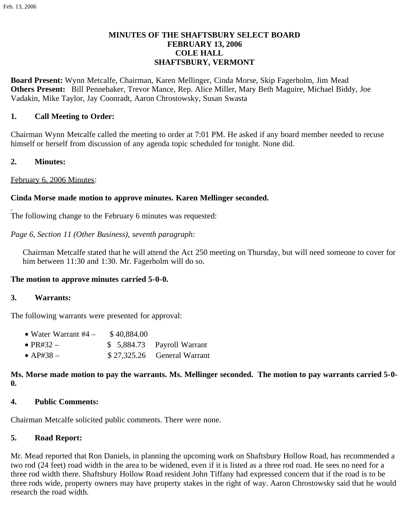## **MINUTES OF THE SHAFTSBURY SELECT BOARD FEBRUARY 13, 2006 COLE HALL SHAFTSBURY, VERMONT**

**Board Present:** Wynn Metcalfe, Chairman, Karen Mellinger, Cinda Morse, Skip Fagerholm, Jim Mead **Others Present:** Bill Pennebaker, Trevor Mance, Rep. Alice Miller, Mary Beth Maguire, Michael Biddy, Joe Vadakin, Mike Taylor, Jay Coonradt, Aaron Chrostowsky, Susan Swasta

### **1. Call Meeting to Order:**

Chairman Wynn Metcalfe called the meeting to order at 7:01 PM. He asked if any board member needed to recuse himself or herself from discussion of any agenda topic scheduled for tonight. None did.

### **2. Minutes:**

February 6, 2006 Minutes:

### **Cinda Morse made motion to approve minutes. Karen Mellinger seconded.**

The following change to the February 6 minutes was requested:

*Page 6, Section 11 (Other Business), seventh paragraph:*

Chairman Metcalfe stated that he will attend the Act 250 meeting on Thursday, but will need someone to cover for him between 11:30 and 1:30. Mr. Fagerholm will do so.

### **The motion to approve minutes carried 5-0-0.**

### **3. Warrants:**

The following warrants were presented for approval:

| • Water Warrant $#4 -$ | \$40,884.00                                                    |                             |
|------------------------|----------------------------------------------------------------|-----------------------------|
| $\bullet$ PR#32 $-$    |                                                                | \$ 5,884.73 Payroll Warrant |
| $\cdots$               | $\wedge$ $\wedge$ $\wedge$ $\wedge$ $\wedge$ $\wedge$ $\wedge$ |                             |

•  $AP#38 -$  \$ 27,325.26 General Warrant

### **Ms. Morse made motion to pay the warrants. Ms. Mellinger seconded. The motion to pay warrants carried 5-0- 0.**

## **4. Public Comments:**

Chairman Metcalfe solicited public comments. There were none.

# **5. Road Report:**

Mr. Mead reported that Ron Daniels, in planning the upcoming work on Shaftsbury Hollow Road, has recommended a two rod (24 feet) road width in the area to be widened, even if it is listed as a three rod road. He sees no need for a three rod width there. Shaftsbury Hollow Road resident John Tiffany had expressed concern that if the road is to be three rods wide, property owners may have property stakes in the right of way. Aaron Chrostowsky said that he would research the road width.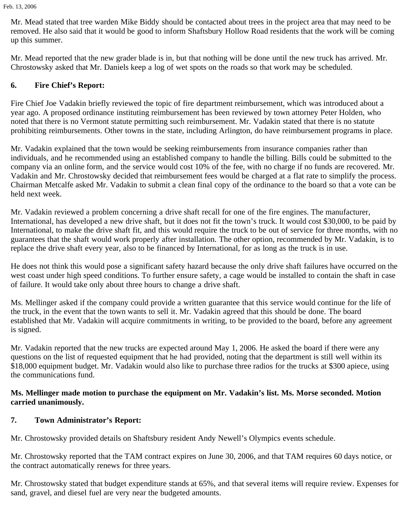Mr. Mead stated that tree warden Mike Biddy should be contacted about trees in the project area that may need to be removed. He also said that it would be good to inform Shaftsbury Hollow Road residents that the work will be coming up this summer.

Mr. Mead reported that the new grader blade is in, but that nothing will be done until the new truck has arrived. Mr. Chrostowsky asked that Mr. Daniels keep a log of wet spots on the roads so that work may be scheduled.

# **6. Fire Chief's Report:**

Fire Chief Joe Vadakin briefly reviewed the topic of fire department reimbursement, which was introduced about a year ago. A proposed ordinance instituting reimbursement has been reviewed by town attorney Peter Holden, who noted that there is no Vermont statute permitting such reimbursement. Mr. Vadakin stated that there is no statute prohibiting reimbursements. Other towns in the state, including Arlington, do have reimbursement programs in place.

Mr. Vadakin explained that the town would be seeking reimbursements from insurance companies rather than individuals, and he recommended using an established company to handle the billing. Bills could be submitted to the company via an online form, and the service would cost 10% of the fee, with no charge if no funds are recovered. Mr. Vadakin and Mr. Chrostowsky decided that reimbursement fees would be charged at a flat rate to simplify the process. Chairman Metcalfe asked Mr. Vadakin to submit a clean final copy of the ordinance to the board so that a vote can be held next week.

Mr. Vadakin reviewed a problem concerning a drive shaft recall for one of the fire engines. The manufacturer, International, has developed a new drive shaft, but it does not fit the town's truck. It would cost \$30,000, to be paid by International, to make the drive shaft fit, and this would require the truck to be out of service for three months, with no guarantees that the shaft would work properly after installation. The other option, recommended by Mr. Vadakin, is to replace the drive shaft every year, also to be financed by International, for as long as the truck is in use.

He does not think this would pose a significant safety hazard because the only drive shaft failures have occurred on the west coast under high speed conditions. To further ensure safety, a cage would be installed to contain the shaft in case of failure. It would take only about three hours to change a drive shaft.

Ms. Mellinger asked if the company could provide a written guarantee that this service would continue for the life of the truck, in the event that the town wants to sell it. Mr. Vadakin agreed that this should be done. The board established that Mr. Vadakin will acquire commitments in writing, to be provided to the board, before any agreement is signed.

Mr. Vadakin reported that the new trucks are expected around May 1, 2006. He asked the board if there were any questions on the list of requested equipment that he had provided, noting that the department is still well within its \$18,000 equipment budget. Mr. Vadakin would also like to purchase three radios for the trucks at \$300 apiece, using the communications fund.

## **Ms. Mellinger made motion to purchase the equipment on Mr. Vadakin's list. Ms. Morse seconded. Motion carried unanimously.**

# **7. Town Administrator's Report:**

Mr. Chrostowsky provided details on Shaftsbury resident Andy Newell's Olympics events schedule.

Mr. Chrostowsky reported that the TAM contract expires on June 30, 2006, and that TAM requires 60 days notice, or the contract automatically renews for three years.

Mr. Chrostowsky stated that budget expenditure stands at 65%, and that several items will require review. Expenses for sand, gravel, and diesel fuel are very near the budgeted amounts.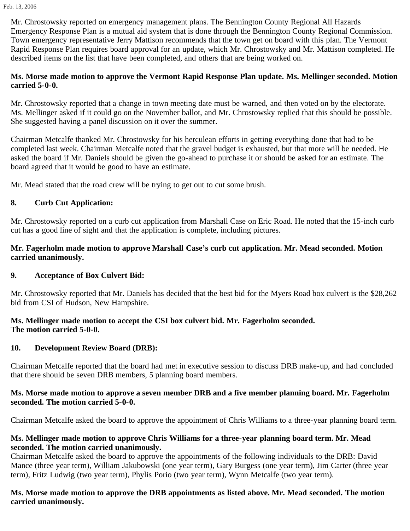Feb. 13, 2006

Mr. Chrostowsky reported on emergency management plans. The Bennington County Regional All Hazards Emergency Response Plan is a mutual aid system that is done through the Bennington County Regional Commission. Town emergency representative Jerry Mattison recommends that the town get on board with this plan. The Vermont Rapid Response Plan requires board approval for an update, which Mr. Chrostowsky and Mr. Mattison completed. He described items on the list that have been completed, and others that are being worked on.

## **Ms. Morse made motion to approve the Vermont Rapid Response Plan update. Ms. Mellinger seconded. Motion carried 5-0-0.**

Mr. Chrostowsky reported that a change in town meeting date must be warned, and then voted on by the electorate. Ms. Mellinger asked if it could go on the November ballot, and Mr. Chrostowsky replied that this should be possible. She suggested having a panel discussion on it over the summer.

Chairman Metcalfe thanked Mr. Chrostowsky for his herculean efforts in getting everything done that had to be completed last week. Chairman Metcalfe noted that the gravel budget is exhausted, but that more will be needed. He asked the board if Mr. Daniels should be given the go-ahead to purchase it or should be asked for an estimate. The board agreed that it would be good to have an estimate.

Mr. Mead stated that the road crew will be trying to get out to cut some brush.

# **8. Curb Cut Application:**

Mr. Chrostowsky reported on a curb cut application from Marshall Case on Eric Road. He noted that the 15-inch curb cut has a good line of sight and that the application is complete, including pictures.

## **Mr. Fagerholm made motion to approve Marshall Case's curb cut application. Mr. Mead seconded. Motion carried unanimously.**

# **9. Acceptance of Box Culvert Bid:**

Mr. Chrostowsky reported that Mr. Daniels has decided that the best bid for the Myers Road box culvert is the \$28,262 bid from CSI of Hudson, New Hampshire.

## **Ms. Mellinger made motion to accept the CSI box culvert bid. Mr. Fagerholm seconded. The motion carried 5-0-0.**

# **10. Development Review Board (DRB):**

Chairman Metcalfe reported that the board had met in executive session to discuss DRB make-up, and had concluded that there should be seven DRB members, 5 planning board members.

## **Ms. Morse made motion to approve a seven member DRB and a five member planning board. Mr. Fagerholm seconded. The motion carried 5-0-0.**

Chairman Metcalfe asked the board to approve the appointment of Chris Williams to a three-year planning board term.

## **Ms. Mellinger made motion to approve Chris Williams for a three-year planning board term. Mr. Mead seconded. The motion carried unanimously.**

Chairman Metcalfe asked the board to approve the appointments of the following individuals to the DRB: David Mance (three year term), William Jakubowski (one year term), Gary Burgess (one year term), Jim Carter (three year term), Fritz Ludwig (two year term), Phylis Porio (two year term), Wynn Metcalfe (two year term).

# **Ms. Morse made motion to approve the DRB appointments as listed above. Mr. Mead seconded. The motion carried unanimously.**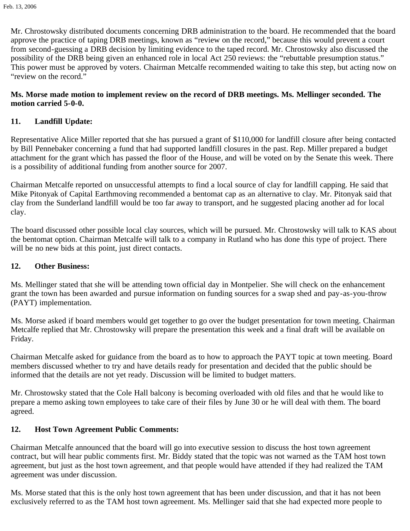Mr. Chrostowsky distributed documents concerning DRB administration to the board. He recommended that the board approve the practice of taping DRB meetings, known as "review on the record," because this would prevent a court from second-guessing a DRB decision by limiting evidence to the taped record. Mr. Chrostowsky also discussed the possibility of the DRB being given an enhanced role in local Act 250 reviews: the "rebuttable presumption status." This power must be approved by voters. Chairman Metcalfe recommended waiting to take this step, but acting now on "review on the record."

### **Ms. Morse made motion to implement review on the record of DRB meetings. Ms. Mellinger seconded. The motion carried 5-0-0.**

### **11. Landfill Update:**

Representative Alice Miller reported that she has pursued a grant of \$110,000 for landfill closure after being contacted by Bill Pennebaker concerning a fund that had supported landfill closures in the past. Rep. Miller prepared a budget attachment for the grant which has passed the floor of the House, and will be voted on by the Senate this week. There is a possibility of additional funding from another source for 2007.

Chairman Metcalfe reported on unsuccessful attempts to find a local source of clay for landfill capping. He said that Mike Pitonyak of Capital Earthmoving recommended a bentomat cap as an alternative to clay. Mr. Pitonyak said that clay from the Sunderland landfill would be too far away to transport, and he suggested placing another ad for local clay.

The board discussed other possible local clay sources, which will be pursued. Mr. Chrostowsky will talk to KAS about the bentomat option. Chairman Metcalfe will talk to a company in Rutland who has done this type of project. There will be no new bids at this point, just direct contacts.

#### **12. Other Business:**

Ms. Mellinger stated that she will be attending town official day in Montpelier. She will check on the enhancement grant the town has been awarded and pursue information on funding sources for a swap shed and pay-as-you-throw (PAYT) implementation.

Ms. Morse asked if board members would get together to go over the budget presentation for town meeting. Chairman Metcalfe replied that Mr. Chrostowsky will prepare the presentation this week and a final draft will be available on Friday.

Chairman Metcalfe asked for guidance from the board as to how to approach the PAYT topic at town meeting. Board members discussed whether to try and have details ready for presentation and decided that the public should be informed that the details are not yet ready. Discussion will be limited to budget matters.

Mr. Chrostowsky stated that the Cole Hall balcony is becoming overloaded with old files and that he would like to prepare a memo asking town employees to take care of their files by June 30 or he will deal with them. The board agreed.

### **12. Host Town Agreement Public Comments:**

Chairman Metcalfe announced that the board will go into executive session to discuss the host town agreement contract, but will hear public comments first. Mr. Biddy stated that the topic was not warned as the TAM host town agreement, but just as the host town agreement, and that people would have attended if they had realized the TAM agreement was under discussion.

Ms. Morse stated that this is the only host town agreement that has been under discussion, and that it has not been exclusively referred to as the TAM host town agreement. Ms. Mellinger said that she had expected more people to